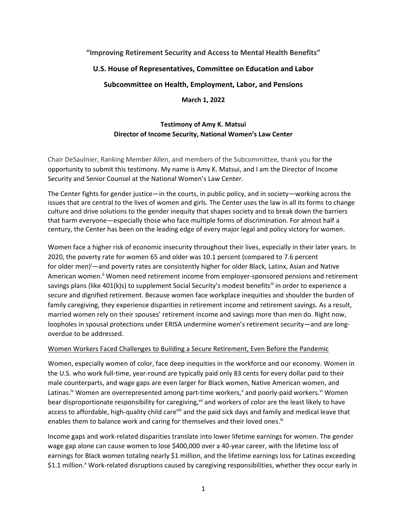# **"Improving Retirement Security and Access to Mental Health Benefits"**

## **U.S. House of Representatives, Committee on Education and Labor**

**Subcommittee on Health, Employment, Labor, and Pensions**

**March 1, 2022**

## **Testimony of Amy K. Matsui Director of Income Security, National Women's Law Center**

Chair DeSaulnier, Ranking Member Allen, and members of the Subcommittee, thank you for the opportunity to submit this testimony. My name is Amy K. Matsui, and I am the Director of Income Security and Senior Counsel at the National Women's Law Center.

The Center fights for gender justice—in the courts, in public policy, and in society—working across the issues that are central to the lives of women and girls. The Center uses the law in all its forms to change culture and drive solutions to the gender inequity that shapes society and to break down the barriers that harm everyone—especially those who face multiple forms of discrimination. For almost half a century, the Center has been on the leading edge of every major legal and policy victory for women.

Women face a higher risk of economic insecurity throughout their lives, especially in their later years. In 2020, the poverty rate for women 65 and older was 10.1 percent (compared to 7.6 percent for older men)<sup>i</sup>—and poverty rates are consistently higher for older Black, Latinx, Asian and Native American women.<sup>ii</sup> Women need retirement income from employer-sponsored pensions and retirement savings plans (like 401(k)s) to supplement Social Security's modest benefits<sup>iii</sup> in order to experience a secure and dignified retirement. Because women face workplace inequities and shoulder the burden of family caregiving, they experience disparities in retirement income and retirement savings. As a result, married women rely on their spouses' retirement income and savings more than men do. Right now, loopholes in spousal protections under ERISA undermine women's retirement security—and are longoverdue to be addressed.

## Women Workers Faced Challenges to Building a Secure Retirement, Even Before the Pandemic

Women, especially women of color, face deep inequities in the workforce and our economy. Women in the U.S. who work full-time, year-round are typically paid only 83 cents for every dollar paid to their male counterparts, and wage gaps are even larger for Black women, Native American women, and Latinas.<sup>iv</sup> Women are overrepresented among part-time workers,<sup>v</sup> and poorly-paid workers.<sup>vi</sup> Women bear disproportionate responsibility for caregiving, vii and workers of color are the least likely to have access to affordable, high-quality child care<sup>viii</sup> and the paid sick days and family and medical leave that enables them to balance work and caring for themselves and their loved ones.<sup>ix</sup>

Income gaps and work-related disparities translate into lower lifetime earnings for women. The gender wage gap alone can cause women to lose \$400,000 over a 40-year career, with the lifetime loss of earnings for Black women totaling nearly \$1 million, and the lifetime earnings loss for Latinas exceeding \$1.1 million.<sup>x</sup> Work-related disruptions caused by caregiving responsibilities, whether they occur early in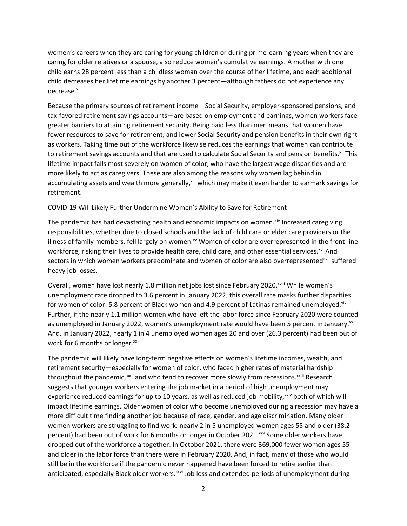women's careers when they are caring for young children or during prime-earning years when they are caring for older relatives or a spouse, also reduce women's cumulative earnings. A mother with one child earns 28 percent less than a childless woman over the course of her lifetime, and each additional child decreases her lifetime earnings by another 3 percent—although fathers do not experience any decrease.<sup>xi</sup>

Because the primary sources of retirement income—Social Security, employer-sponsored pensions, and tax-favored retirement savings accounts—are based on employment and earnings, women workers face greater barriers to attaining retirement security. Being paid less than men means that women have fewer resources to save for retirement, and lower Social Security and pension benefits in their own right as workers. Taking time out of the workforce likewise reduces the earnings that women can contribute to retirement savings accounts and that are used to calculate Social Security and pension benefits.<sup>xii</sup> This lifetime impact falls most severely on women of color, who have the largest wage disparities and are more likely to act as caregivers. These are also among the reasons why women lag behind in accumulating assets and wealth more generally, xiii which may make it even harder to earmark savings for retirement.

#### COVID-19 Will Likely Further Undermine Women's Ability to Save for Retirement

The pandemic has had devastating health and economic impacts on women.<sup>xiv</sup> Increased caregiving responsibilities, whether due to closed schools and the lack of child care or elder care providers or the illness of family members, fell largely on women.<sup>xv</sup> Women of color are overrepresented in the front-line workforce, risking their lives to provide health care, child care, and other essential services.<sup>xvi</sup> And sectors in which women workers predominate and women of color are also overrepresented<sup>xvii</sup> suffered heavy job losses.

Overall, women have lost nearly 1.8 million net jobs lost since February 2020.<sup>xviii</sup> While women's unemployment rate dropped to 3.6 percent in January 2022, this overall rate masks further disparities for women of color: 5.8 percent of Black women and 4.9 percent of Latinas remained unemployed. $x$ ix Further, if the nearly 1.1 million women who have left the labor force since February 2020 were counted as unemployed in January 2022, women's unemployment rate would have been 5 percent in January.<sup>xx</sup> And, in January 2022, nearly 1 in 4 unemployed women ages 20 and over (26.3 percent) had been out of work for 6 months or longer.xxi

The pandemic will likely have long-term negative effects on women's lifetime incomes, wealth, and retirement security—especially for women of color, who faced higher rates of material hardship throughout the pandemic, <sup>xxii</sup> and who tend to recover more slowly from recessions. <sup>xxiii</sup> Research suggests that younger workers entering the job market in a period of high unemployment may experience reduced earnings for up to 10 years, as well as reduced job mobility, $x_{\text{inv}}$  both of which will impact lifetime earnings. Older women of color who become unemployed during a recession may have a more difficult time finding another job because of race, gender, and age discrimination. Many older women workers are struggling to find work: nearly 2 in 5 unemployed women ages 55 and older (38.2 percent) had been out of work for 6 months or longer in October 2021.<sup>xxv</sup> Some older workers have dropped out of the workforce altogether: In October 2021, there were 369,000 fewer women ages 55 and older in the labor force than there were in February 2020. And, in fact, many of those who would still be in the workforce if the pandemic never happened have been forced to retire earlier than anticipated, especially Black older workers.<sup>xxvi</sup> Job loss and extended periods of unemployment during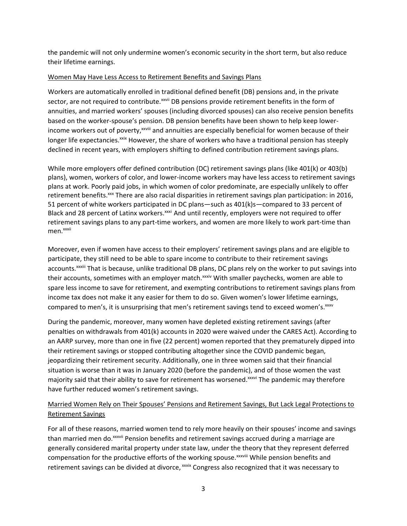the pandemic will not only undermine women's economic security in the short term, but also reduce their lifetime earnings.

### Women May Have Less Access to Retirement Benefits and Savings Plans

Workers are automatically enrolled in traditional defined benefit (DB) pensions and, in the private sector, are not required to contribute. XXVII DB pensions provide retirement benefits in the form of annuities, and married workers' spouses (including divorced spouses) can also receive pension benefits based on the worker-spouse's pension. DB pension benefits have been shown to help keep lowerincome workers out of poverty,<sup>xxviii</sup> and annuities are especially beneficial for women because of their longer life expectancies.<sup>xxix</sup> However, the share of workers who have a traditional pension has steeply declined in recent years, with employers shifting to defined contribution retirement savings plans.

While more employers offer defined contribution (DC) retirement savings plans (like 401(k) or 403(b) plans), women, workers of color, and lower-income workers may have less access to retirement savings plans at work. Poorly paid jobs, in which women of color predominate, are especially unlikely to offer retirement benefits.<sup>xxx</sup> There are also racial disparities in retirement savings plan participation: in 2016, 51 percent of white workers participated in DC plans—such as 401(k)s—compared to 33 percent of Black and 28 percent of Latinx workers.<sup>xxxi</sup> And until recently, employers were not required to offer retirement savings plans to any part-time workers, and women are more likely to work part-time than men.<sup>xxxii</sup>

Moreover, even if women have access to their employers' retirement savings plans and are eligible to participate, they still need to be able to spare income to contribute to their retirement savings accounts.<sup>xxxiii</sup> That is because, unlike traditional DB plans, DC plans rely on the worker to put savings into their accounts, sometimes with an employer match.<sup>xxxiv</sup> With smaller paychecks, women are able to spare less income to save for retirement, and exempting contributions to retirement savings plans from income tax does not make it any easier for them to do so. Given women's lower lifetime earnings, compared to men's, it is unsurprising that men's retirement savings tend to exceed women's. xxxv

During the pandemic, moreover, many women have depleted existing retirement savings (after penalties on withdrawals from 401(k) accounts in 2020 were waived under the CARES Act). According to an AARP survey, more than one in five (22 percent) women reported that they prematurely dipped into their retirement savings or stopped contributing altogether since the COVID pandemic began, jeopardizing their retirement security. Additionally, one in three women said that their financial situation is worse than it was in January 2020 (before the pandemic), and of those women the vast majority said that their ability to save for retirement has worsened.<sup>xxxvi</sup> The pandemic may therefore have further reduced women's retirement savings.

## Married Women Rely on Their Spouses' Pensions and Retirement Savings, But Lack Legal Protections to Retirement Savings

For all of these reasons, married women tend to rely more heavily on their spouses' income and savings than married men do.<sup>xxxvii</sup> Pension benefits and retirement savings accrued during a marriage are generally considered marital property under state law, under the theory that they represent deferred compensation for the productive efforts of the working spouse.<sup>xxxviii</sup> While pension benefits and retirement savings can be divided at divorce, xxxix Congress also recognized that it was necessary to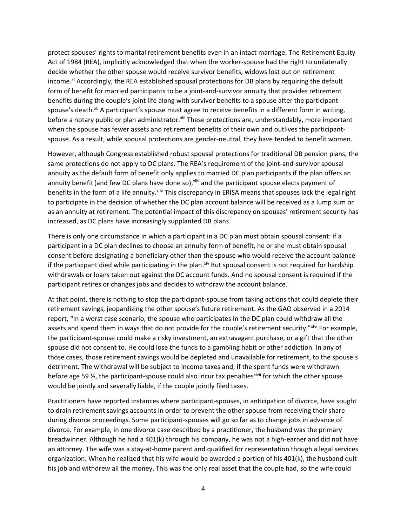protect spouses' rights to marital retirement benefits even in an intact marriage. The Retirement Equity Act of 1984 (REA), implicitly acknowledged that when the worker-spouse had the right to unilaterally decide whether the other spouse would receive survivor benefits, widows lost out on retirement income.<sup>xl</sup> Accordingly, the REA established spousal protections for DB plans by requiring the default form of benefit for married participants to be a joint-and-survivor annuity that provides retirement benefits during the couple's joint life along with survivor benefits to a spouse after the participantspouse's death.<sup>xli</sup> A participant's spouse must agree to receive benefits in a different form in writing, before a notary public or plan administrator. XIII These protections are, understandably, more important when the spouse has fewer assets and retirement benefits of their own and outlives the participantspouse. As a result, while spousal protections are gender-neutral, they have tended to benefit women.

However, although Congress established robust spousal protections for traditional DB pension plans, the same protections do not apply to DC plans. The REA's requirement of the joint-and-survivor spousal annuity as the default form of benefit only applies to married DC plan participants if the plan offers an annuity benefit (and few DC plans have done so), xliii and the participant spouse elects payment of benefits in the form of a life annuity. Xiiv This discrepancy in ERISA means that spouses lack the legal right to participate in the decision of whether the DC plan account balance will be received as a lump sum or as an annuity at retirement. The potential impact of this discrepancy on spouses' retirement security has increased, as DC plans have increasingly supplanted DB plans.

There is only one circumstance in which a participant in a DC plan must obtain spousal consent: if a participant in a DC plan declines to choose an annuity form of benefit, he or she must obtain spousal consent before designating a beneficiary other than the spouse who would receive the account balance if the participant died while participating in the plan.<sup>xlv</sup> But spousal consent is not required for hardship withdrawals or loans taken out against the DC account funds. And no spousal consent is required if the participant retires or changes jobs and decides to withdraw the account balance.

At that point, there is nothing to stop the participant-spouse from taking actions that could deplete their retirement savings, jeopardizing the other spouse's future retirement. As the GAO observed in a 2014 report, "In a worst case scenario, the spouse who participates in the DC plan could withdraw all the assets and spend them in ways that do not provide for the couple's retirement security."xlvi For example, the participant-spouse could make a risky investment, an extravagant purchase, or a gift that the other spouse did not consent to. He could lose the funds to a gambling habit or other addiction. In any of those cases, those retirement savings would be depleted and unavailable for retirement, to the spouse's detriment. The withdrawal will be subject to income taxes and, if the spent funds were withdrawn before age 59 %, the participant-spouse could also incur tax penalties<sup>xivii</sup> for which the other spouse would be jointly and severally liable, if the couple jointly filed taxes.

Practitioners have reported instances where participant-spouses, in anticipation of divorce, have sought to drain retirement savings accounts in order to prevent the other spouse from receiving their share during divorce proceedings. Some participant-spouses will go so far as to change jobs in advance of divorce. For example, in one divorce case described by a practitioner, the husband was the primary breadwinner. Although he had a 401(k) through his company, he was not a high-earner and did not have an attorney. The wife was a stay-at-home parent and qualified for representation though a legal services organization. When he realized that his wife would be awarded a portion of his 401(k), the husband quit his job and withdrew all the money. This was the only real asset that the couple had, so the wife could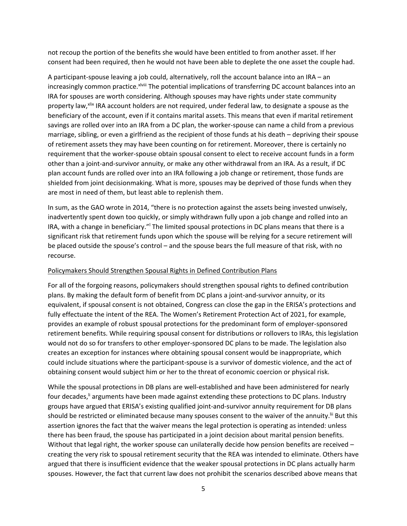not recoup the portion of the benefits she would have been entitled to from another asset. If her consent had been required, then he would not have been able to deplete the one asset the couple had.

A participant-spouse leaving a job could, alternatively, roll the account balance into an IRA – an increasingly common practice.<sup>xlviii</sup> The potential implications of transferring DC account balances into an IRA for spouses are worth considering. Although spouses may have rights under state community property law, XIIX IRA account holders are not required, under federal law, to designate a spouse as the beneficiary of the account, even if it contains marital assets. This means that even if marital retirement savings are rolled over into an IRA from a DC plan, the worker-spouse can name a child from a previous marriage, sibling, or even a girlfriend as the recipient of those funds at his death – depriving their spouse of retirement assets they may have been counting on for retirement. Moreover, there is certainly no requirement that the worker-spouse obtain spousal consent to elect to receive account funds in a form other than a joint-and-survivor annuity, or make any other withdrawal from an IRA. As a result, if DC plan account funds are rolled over into an IRA following a job change or retirement, those funds are shielded from joint decisionmaking. What is more, spouses may be deprived of those funds when they are most in need of them, but least able to replenish them.

In sum, as the GAO wrote in 2014, "there is no protection against the assets being invested unwisely, inadvertently spent down too quickly, or simply withdrawn fully upon a job change and rolled into an IRA, with a change in beneficiary."<sup>I</sup> The limited spousal protections in DC plans means that there is a significant risk that retirement funds upon which the spouse will be relying for a secure retirement will be placed outside the spouse's control – and the spouse bears the full measure of that risk, with no recourse.

#### Policymakers Should Strengthen Spousal Rights in Defined Contribution Plans

For all of the forgoing reasons, policymakers should strengthen spousal rights to defined contribution plans. By making the default form of benefit from DC plans a joint-and-survivor annuity, or its equivalent, if spousal consent is not obtained, Congress can close the gap in the ERISA's protections and fully effectuate the intent of the REA. The Women's Retirement Protection Act of 2021, for example, provides an example of robust spousal protections for the predominant form of employer-sponsored retirement benefits. While requiring spousal consent for distributions or rollovers to IRAs, this legislation would not do so for transfers to other employer-sponsored DC plans to be made. The legislation also creates an exception for instances where obtaining spousal consent would be inappropriate, which could include situations where the participant-spouse is a survivor of domestic violence, and the act of obtaining consent would subject him or her to the threat of economic coercion or physical risk.

While the spousal protections in DB plans are well-established and have been administered for nearly four decades,<sup>li</sup> arguments have been made against extending these protections to DC plans. Industry groups have argued that ERISA's existing qualified joint-and-survivor annuity requirement for DB plans should be restricted or eliminated because many spouses consent to the waiver of the annuity.<sup>Iii</sup> But this assertion ignores the fact that the waiver means the legal protection is operating as intended: unless there has been fraud, the spouse has participated in a joint decision about marital pension benefits. Without that legal right, the worker spouse can unilaterally decide how pension benefits are received creating the very risk to spousal retirement security that the REA was intended to eliminate. Others have argued that there is insufficient evidence that the weaker spousal protections in DC plans actually harm spouses. However, the fact that current law does not prohibit the scenarios described above means that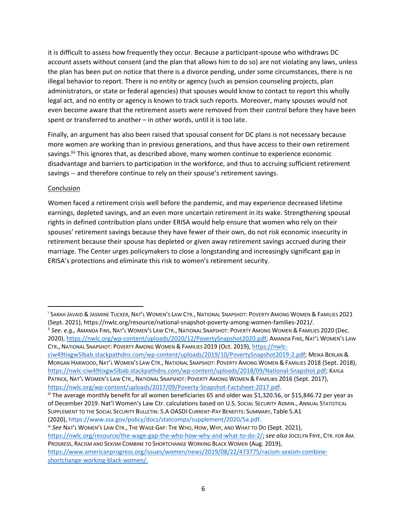it is difficult to assess how frequently they occur. Because a participant-spouse who withdraws DC account assets without consent (and the plan that allows him to do so) are not violating any laws, unless the plan has been put on notice that there is a divorce pending, under some circumstances, there is no illegal behavior to report. There is no entity or agency (such as pension counseling projects, plan administrators, or state or federal agencies) that spouses would know to contact to report this wholly legal act, and no entity or agency is known to track such reports. Moreover, many spouses would not even become aware that the retirement assets were removed from their control before they have been spent or transferred to another – in other words, until it is too late.

Finally, an argument has also been raised that spousal consent for DC plans is not necessary because more women are working than in previous generations, and thus have access to their own retirement savings.<sup>IIII</sup> This ignores that, as described above, many women continue to experience economic disadvantage and barriers to participation in the workforce, and thus to accruing sufficient retirement savings -- and therefore continue to rely on their spouse's retirement savings.

#### Conclusion

Women faced a retirement crisis well before the pandemic, and may experience decreased lifetime earnings, depleted savings, and an even more uncertain retirement in its wake. Strengthening spousal rights in defined contribution plans under ERISA would help ensure that women who rely on their spouses' retirement savings because they have fewer of their own, do not risk economic insecurity in retirement because their spouse has depleted or given away retirement savings accrued during their marriage. The Center urges policymakers to close a longstanding and increasingly significant gap in ERISA's protections and eliminate this risk to women's retirement security.

i SARAH JAVAID & JASMINE TUCKER, NAT'L WOMEN'S LAW CTR., NATIONAL SNAPSHOT: POVERTY AMONG WOMEN & FAMILIES 2021 (Sept. 2021), https://nwlc.org/resource/national-snapshot-poverty-among-women-families-2021/.

ii *See. e.g.,* AMANDA FINS, NAT'L WOMEN'S LAW CTR., NATIONAL SNAPSHOT: POVERTY AMONG WOMEN & FAMILIES 2020 (Dec. 2020), [https://nwlc.org/wp-content/uploads/2020/12/PovertySnapshot2020.pdf;](https://nwlc.org/wp-content/uploads/2020/12/PovertySnapshot2020.pdf) AMANDA FINS, NAT'L WOMEN'S LAW CTR., NATIONAL SNAPSHOT: POVERTY AMONG WOMEN & FAMILIES 2019 (Oct. 2019)[, https://nwlc-](https://nwlc-ciw49tixgw5lbab.stackpathdns.com/wp-content/uploads/2019/10/PovertySnapshot2019-2.pdf)

[ciw49tixgw5lbab.stackpathdns.com/wp-content/uploads/2019/10/PovertySnapshot2019-2.pdf;](https://nwlc-ciw49tixgw5lbab.stackpathdns.com/wp-content/uploads/2019/10/PovertySnapshot2019-2.pdf) MEIKA BERLAN & MORGAN HARWOOD, NAT'L WOMEN'S LAW CTR., NATIONAL SNAPSHOT: POVERTY AMONG WOMEN & FAMILIES 2018 (Sept. 2018), [https://nwlc-ciw49tixgw5lbab.stackpathdns.com/wp-content/uploads/2018/09/National-Snapshot.pdf;](https://nwlc-ciw49tixgw5lbab.stackpathdns.com/wp-content/uploads/2018/09/National-Snapshot.pdf) KAYLA

PATRICK, NAT'L WOMEN'S LAW CTR., NATIONAL SNAPSHOT: POVERTY AMONG WOMEN & FAMILIes 2016 (Sept. 2017), [https://nwlc.org/wp-content/uploads/2017/09/Poverty-Snapshot-Factsheet-2017.pdf.](https://nwlc.org/wp-content/uploads/2017/09/Poverty-Snapshot-Factsheet-2017.pdf) 

iii The average monthly benefit for all women beneficiaries 65 and older was \$1,320.56, or \$15,846.72 per year as of December 2019. Nat'l Women's Law Ctr. calculations based on U.S. SOCIAL SECURITY ADMIN., ANNUAL STATISTICAL SUPPLEMENT TO THE SOCIAL SECURITY BULLETIN: 5.A OASDI CURRENT-PAY BENEFITS: SUMMARY, Table 5.A1 (2020), [https://www.ssa.gov/policy/docs/statcomps/supplement/2020/5a.pdf.](https://www.ssa.gov/policy/docs/statcomps/supplement/2020/5a.pdf)

iv *See* NAT'L WOMEN'S LAW CTR., THE WAGE GAP: THE WHO, HOW, WHY, AND WHAT TO DO (Sept. 2021), [https://nwlc.org/resource/the-wage-gap-the-who-how-why-and-what-to-do-2/;](https://nwlc.org/resource/the-wage-gap-the-who-how-why-and-what-to-do-2/) *see also* JOCELYN FRYE, CTR. FOR AM. PROGRESS, RACISM AND SEXISM COMBINE TO SHORTCHANGE WORKING BLACK WOMEN (Aug. 2019),

https://www.americanprogress.org/issues/women/news/2019/08/22/473775/racism-sexism-combineshortchange-working-black-women/.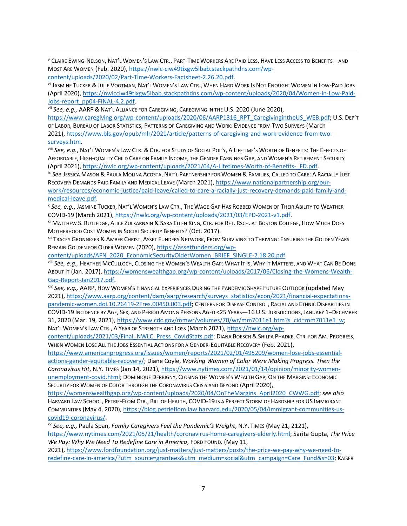<sup>v</sup> CLAIRE EWING-NELSON, NAT'L WOMEN'S LAW CTR., PART-TIME WORKERS ARE PAID LESS, HAVE LESS ACCESS TO BENEFITS – AND MOST ARE WOMEN (Feb. 2020), [https://nwlc-ciw49tixgw5lbab.stackpathdns.com/wp](https://nwlc-ciw49tixgw5lbab.stackpathdns.com/wp-content/uploads/2020/02/Part-Time-Workers-Factsheet-2.26.20.pdf)[content/uploads/2020/02/Part-Time-Workers-Factsheet-2.26.20.pdf.](https://nwlc-ciw49tixgw5lbab.stackpathdns.com/wp-content/uploads/2020/02/Part-Time-Workers-Factsheet-2.26.20.pdf)

vi JASMINE TUCKER & JULIE VOGTMAN, NAT'L WOMEN'S LAW CTR., WHEN HARD WORK IS NOT ENOUGH: WOMEN IN LOW-PAID JOBS (April 2020)[, https://nwlcciw49tixgw5lbab.stackpathdns.com/wp-content/uploads/2020/04/Women-in-Low-Paid-](https://nwlcciw49tixgw5lbab.stackpathdns.com/wp-content/uploads/2020/04/Women-in-Low-Paid-Jobs-report_pp04-FINAL-4.2.pdf)[Jobs-report\\_pp04-FINAL-4.2.pdf.](https://nwlcciw49tixgw5lbab.stackpathdns.com/wp-content/uploads/2020/04/Women-in-Low-Paid-Jobs-report_pp04-FINAL-4.2.pdf)

vii *See, e.g.,* AARP & NAT'L ALLIANCE FOR CAREGIVING, CAREGIVING IN THE U.S. 2020 (June 2020),

[https://www.caregiving.org/wp-content/uploads/2020/06/AARP1316\\_RPT\\_CaregivingintheUS\\_WEB.pdf;](https://www.caregiving.org/wp-content/uploads/2020/06/AARP1316_RPT_CaregivingintheUS_WEB.pdf) U.S. DEP'T OF LABOR, BUREAU OF LABOR STATISTICS, PATTERNS OF CAREGIVING AND WORK: EVIDENCE FROM TWO SURVEYS (March 2021), [https://www.bls.gov/opub/mlr/2021/article/patterns-of-caregiving-and-work-evidence-from-two](https://www.bls.gov/opub/mlr/2021/article/patterns-of-caregiving-and-work-evidence-from-two-surveys.htm)[surveys.htm.](https://www.bls.gov/opub/mlr/2021/article/patterns-of-caregiving-and-work-evidence-from-two-surveys.htm)

viii *See, e.g.*, NAT'L WOMEN'S LAW CTR. & CTR. FOR STUDY OF SOCIAL POL'Y, A LIFETIME'S WORTH OF BENEFITS: THE EFFECTS OF AFFORDABLE, HIGH-QUALITY CHILD CARE ON FAMILY INCOME, THE GENDER EARNINGS GAP, AND WOMEN'S RETIREMENT SECURITY (April 2021)[, https://nwlc.org/wp-content/uploads/2021/04/A-Lifetimes-Worth-of-Benefits-\\_FD.pdf.](https://nwlc.org/wp-content/uploads/2021/04/A-Lifetimes-Worth-of-Benefits-_FD.pdf)

ix *See* JESSICA MASON & PAULA MOLINA ACOSTA, NAT'L PARTNERSHIP FOR WOMEN & FAMILIES, CALLED TO CARE: A RACIALLY JUST RECOVERY DEMANDS PAID FAMILY AND MEDICAL LEAVE (March 2021), [https://www.nationalpartnership.org/our-](https://www.nationalpartnership.org/our-work/resources/economic-justice/paid-leave/called-to-care-a-racially-just-recovery-demands-paid-family-and-medical-leave.pdf)

[work/resources/economic-justice/paid-leave/called-to-care-a-racially-just-recovery-demands-paid-family-and](https://www.nationalpartnership.org/our-work/resources/economic-justice/paid-leave/called-to-care-a-racially-just-recovery-demands-paid-family-and-medical-leave.pdf)[medical-leave.pdf.](https://www.nationalpartnership.org/our-work/resources/economic-justice/paid-leave/called-to-care-a-racially-just-recovery-demands-paid-family-and-medical-leave.pdf)

x *See, e.g.*, JASMINE TUCKER, NAT'L WOMEN'S LAW CTR., THE WAGE GAP HAS ROBBED WOMEN OF THEIR ABILITY TO WEATHER COVID-19 (March 2021)[, https://nwlc.org/wp-content/uploads/2021/03/EPD-2021-v1.pdf.](https://nwlc.org/wp-content/uploads/2021/03/EPD-2021-v1.pdf)

xi MATTHEW S. RUTLEDGE, ALICE ZULKARNAIN & SARA ELLEN KING, CTR. FOR RET. RSCH. AT BOSTON COLLEGE, HOW MUCH DOES MOTHERHOOD COST WOMEN IN SOCIAL SECURITY BENEFITS? (Oct. 2017).

xii TRACEY GRONNIGER & AMBER CHRIST, ASSET FUNDERS NETWORK, FROM SURVIVING TO THRIVING: ENSURING THE GOLDEN YEARS REMAIN GOLDEN FOR OLDER WOMEN (2020), [https://assetfunders.org/wp-](https://assetfunders.org/wp-content/uploads/AFN_2020_EconomicSecurityOlderWomen_BRIEF_SINGLE-2.18.20.pdf)

[content/uploads/AFN\\_2020\\_EconomicSecurityOlderWomen\\_BRIEF\\_SINGLE-2.18.20.pdf.](https://assetfunders.org/wp-content/uploads/AFN_2020_EconomicSecurityOlderWomen_BRIEF_SINGLE-2.18.20.pdf)

xiii *See, e.g.,* HEATHER MCCULLOCH, CLOSING THE WOMEN'S WEALTH GAP: WHAT IT IS, WHY IT MATTERS, AND WHAT CAN BE DONE ABOUT IT (Jan. 2017), [https://womenswealthgap.org/wp-content/uploads/2017/06/Closing-the-Womens-Wealth-](https://womenswealthgap.org/wp-content/uploads/2017/06/Closing-the-Womens-Wealth-Gap-Report-Jan2017.pdf)[Gap-Report-Jan2017.pdf.](https://womenswealthgap.org/wp-content/uploads/2017/06/Closing-the-Womens-Wealth-Gap-Report-Jan2017.pdf)

xiv *See, e.g.,* AARP, HOW WOMEN'S FINANCIAL EXPERIENCES DURING THE PANDEMIC SHAPE FUTURE OUTLOOK (updated May 2021), [https://www.aarp.org/content/dam/aarp/research/surveys\\_statistics/econ/2021/financial-expectations](https://www.aarp.org/content/dam/aarp/research/surveys_statistics/econ/2021/financial-expectations-pandemic-women.doi.10.26419-2Fres.00450.003.pdf)[pandemic-women.doi.10.26419-2Fres.00450.003.pdf;](https://www.aarp.org/content/dam/aarp/research/surveys_statistics/econ/2021/financial-expectations-pandemic-women.doi.10.26419-2Fres.00450.003.pdf) CENTERS FOR DISEASE CONTROL, RACIAL AND ETHNIC DISPARITIES IN

COVID-19 INCIDENCE BY AGE, SEX, AND PERIOD AMONG PERSONS AGED <25 YEARS—16 U.S. JURISDICTIONS, JANUARY 1–DECEMBER 31, 2020 (Mar. 19, 2021), [https://www.cdc.gov/mmwr/volumes/70/wr/mm7011e1.htm?s\\_cid=mm7011e1\\_w;](https://www.cdc.gov/mmwr/volumes/70/wr/mm7011e1.htm?s_cid=mm7011e1_w) NAT'L WOMEN'S LAW CTR., A YEAR OF STRENGTH AND LOSS (March 2021), [https://nwlc.org/wp-](https://nwlc.org/wp-content/uploads/2021/03/Final_NWLC_Press_CovidStats.pdf)

[content/uploads/2021/03/Final\\_NWLC\\_Press\\_CovidStats.pdf;](https://nwlc.org/wp-content/uploads/2021/03/Final_NWLC_Press_CovidStats.pdf) DIANA BOESCH & SHILPA PHADKE, CTR. FOR AM. PROGRESS, WHEN WOMEN LOSE ALL THE JOBS ESSENTIAL ACTIONS FOR A GENDER-EQUITABLE RECOVERY (Feb. 2021),

[https://www.americanprogress.org/issues/women/reports/2021/02/01/495209/women-lose-jobs-essential](https://www.americanprogress.org/issues/women/reports/2021/02/01/495209/women-lose-jobs-essential-actions-gender-equitable-recovery/)[actions-gender-equitable-recovery/;](https://www.americanprogress.org/issues/women/reports/2021/02/01/495209/women-lose-jobs-essential-actions-gender-equitable-recovery/) Diane Coyle, *Working Women of Color Were Making Progress. Then the Coronavirus Hit*, N.Y. TIMES (Jan 14, 2021)[, https://www.nytimes.com/2021/01/14/opinion/minority-women](https://www.nytimes.com/2021/01/14/opinion/minority-women-unemployment-covid.html)[unemployment-covid.html;](https://www.nytimes.com/2021/01/14/opinion/minority-women-unemployment-covid.html) DOMINIQUE DERBIGNY, CLOSING THE WOMEN'S WEALTH GAP, ON THE MARGINS: ECONOMIC SECURITY FOR WOMEN OF COLOR THROUGH THE CORONAVIRUS CRISIS AND BEYOND (April 2020),

[https://womenswealthgap.org/wp-content/uploads/2020/04/OnTheMargins\\_April2020\\_CWWG.pdf;](https://womenswealthgap.org/wp-content/uploads/2020/04/OnTheMargins_April2020_CWWG.pdf) *see also*  HARVARD LAW SCHOOL, PETRIE-FLOM CTR., BILL OF HEALTH, COVID-19 IS A PERFECT STORM OF HARDSHIP FOR US IMMIGRANT COMMUNITIES (May 4, 2020)[, https://blog.petrieflom.law.harvard.edu/2020/05/04/immigrant-communities-us](https://blog.petrieflom.law.harvard.edu/2020/05/04/immigrant-communities-us-covid19-coronavirus/)[covid19-coronavirus/.](https://blog.petrieflom.law.harvard.edu/2020/05/04/immigrant-communities-us-covid19-coronavirus/)

xv *See, e.g.,* Paula Span, *Family Caregivers Feel the Pandemic's Weight*, N.Y. TIMES (May 21, 2121), [https://www.nytimes.com/2021/05/21/health/coronavirus-home-caregivers-elderly.html;](https://www.nytimes.com/2021/05/21/health/coronavirus-home-caregivers-elderly.html) Sarita Gupta, *The Price We Pay: Why We Need To Redefine Care in America*, FORD FOUND. (May 11,

2021), [https://www.fordfoundation.org/just-matters/just-matters/posts/the-price-we-pay-why-we-need-to](https://www.fordfoundation.org/just-matters/just-matters/posts/the-price-we-pay-why-we-need-to-redefine-care-in-america/?utm_source=grantees&utm_medium=social&utm_campaign=Care_Fund&s=03)[redefine-care-in-america/?utm\\_source=grantees&utm\\_medium=social&utm\\_campaign=Care\\_Fund&s=03;](https://www.fordfoundation.org/just-matters/just-matters/posts/the-price-we-pay-why-we-need-to-redefine-care-in-america/?utm_source=grantees&utm_medium=social&utm_campaign=Care_Fund&s=03) KAISER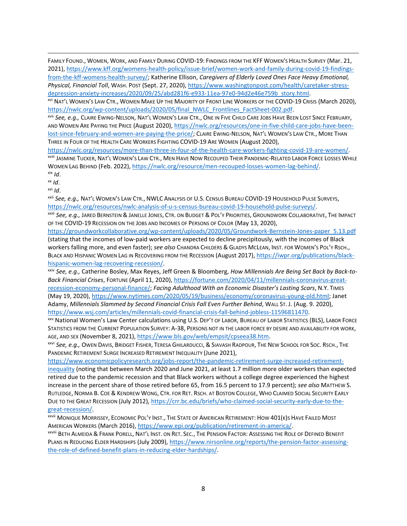FAMILY FOUND., WOMEN, WORK, AND FAMILY DURING COVID-19: FINDINGS FROM THE KFF WOMEN'S HEALTH SURVEY (Mar. 21, 2021), [https://www.kff.org/womens-health-policy/issue-brief/women-work-and-family-during-covid-19-findings](https://www.kff.org/womens-health-policy/issue-brief/women-work-and-family-during-covid-19-findings-from-the-kff-womens-health-survey/)[from-the-kff-womens-health-survey/;](https://www.kff.org/womens-health-policy/issue-brief/women-work-and-family-during-covid-19-findings-from-the-kff-womens-health-survey/) Katherine Ellison, *Caregivers of Elderly Loved Ones Face Heavy Emotional, Physical, Financial Toll*, WASH. POST (Sept. 27, 2020), [https://www.washingtonpost.com/health/caretaker-stress](https://www.washingtonpost.com/health/caretaker-stress-depression-anxiety-increases/2020/09/25/abd281f6-e933-11ea-97e0-94d2e46e759b_story.html)[depression-anxiety-increases/2020/09/25/abd281f6-e933-11ea-97e0-94d2e46e759b\\_story.html.](https://www.washingtonpost.com/health/caretaker-stress-depression-anxiety-increases/2020/09/25/abd281f6-e933-11ea-97e0-94d2e46e759b_story.html)

xvi NAT'L WOMEN'S LAW CTR., WOMEN MAKE UP THE MAJORITY OF FRONT LINE WORKERS OF THE COVID-19 CRISIS (March 2020), [https://nwlc.org/wp-content/uploads/2020/05/final\\_NWLC\\_Frontlines\\_FactSheet-002.pdf.](https://nwlc.org/wp-content/uploads/2020/05/final_NWLC_Frontlines_FactSheet-002.pdf)

xvii *See, e.g.,* CLAIRE EWING-NELSON, NAT'L WOMEN'S LAW CTR., ONE IN FIVE CHILD CARE JOBS HAVE BEEN LOST SINCE FEBRUARY, AND WOMEN ARE PAYING THE PRICE (August 2020)[, https://nwlc.org/resources/one-in-five-child-care-jobs-have-been](https://nwlc.org/resources/one-in-five-child-care-jobs-have-been-lost-since-february-and-women-are-paying-the-price/)[lost-since-february-and-women-are-paying-the-price/;](https://nwlc.org/resources/one-in-five-child-care-jobs-have-been-lost-since-february-and-women-are-paying-the-price/) CLAIRE EWING-NELSON, NAT'L WOMEN'S LAW CTR., MORE THAN THREE IN FOUR OF THE HEALTH CARE WORKERS FIGHTING COVID-19 ARE WOMEN (August 2020),

[https://nwlc.org/resources/more-than-three-in-four-of-the-health-care-workers-fighting-covid-19-are-women/.](https://nwlc.org/resources/more-than-three-in-four-of-the-health-care-workers-fighting-covid-19-are-women/) xviii JASMINE TUCKER, NAT'L WOMEN'S LAW CTR., MEN HAVE NOW RECOUPED THEIR PANDEMIC-RELATED LABOR FORCE LOSSES WHILE WOMEN LAG BEHIND (Feb. 2022), [https://nwlc.org/resource/men-recouped-losses-women-lag-behind/.](https://nwlc.org/resource/men-recouped-losses-women-lag-behind/)  $x$ ix  $Id$ .

xx *Id*.

xxi *Id*.

xxii *See, e.g.,* NAT'L WOMEN'S LAW CTR., NWLC ANALYSIS OF U.S. CENSUS BUREAU COVID-19 HOUSEHOLD PULSE SURVEYS, [https://nwlc.org/resources/nwlc-analysis-of-u-s-census-bureau-covid-19-household-pulse-surveys/.](https://nwlc.org/resources/nwlc-analysis-of-u-s-census-bureau-covid-19-household-pulse-surveys/)

xxiii *See, e.g.,* JARED BERNSTEIN & JANELLE JONES, CTR. ON BUDGET & POL'Y PRIORITIES, GROUNDWORK COLLABORATIVE, THE IMPACT OF THE COVID-19 RECESSION ON THE JOBS AND INCOMES OF PERSONS OF COLOR (May 13, 2020),

[https://groundworkcollaborative.org/wp-content/uploads/2020/05/Groundwork-Bernstein-Jones-paper\\_5.13.pdf](https://groundworkcollaborative.org/wp-content/uploads/2020/05/Groundwork-Bernstein-Jones-paper_5.13.pdf) (stating that the incomes of low-paid workers are expected to decline precipitously, with the incomes of Black workers falling more, and even faster); *see also* CHANDRA CHILDERS & GLADYS MCLEAN, INST. FOR WOMEN'S POL'Y RSCH., BLACK AND HISPANIC WOMEN LAG IN RECOVERING FROM THE RECESSION (August 2017), [https://iwpr.org/publications/black](https://iwpr.org/publications/black-hispanic-women-lag-recovering-recession/)[hispanic-women-lag-recovering-recession/.](https://iwpr.org/publications/black-hispanic-women-lag-recovering-recession/)

xxiv *See, e.g.,* Catherine Bosley, Max Reyes, Jeff Green & Bloomberg, *How Millennials Are Being Set Back by Back-to-Back Financial Crises*, FORTUNE (April 11, 2020), [https://fortune.com/2020/04/11/millennials-coronavirus-great](https://fortune.com/2020/04/11/millennials-coronavirus-great-recession-economy-personal-finance/)[recession-economy-personal-finance/;](https://fortune.com/2020/04/11/millennials-coronavirus-great-recession-economy-personal-finance/) *Facing Adulthood With an Economic Disaster's Lasting Scars*, N.Y. TIMES (May 19, 2020), [https://www.nytimes.com/2020/05/19/business/economy/coronavirus-young-old.html;](https://www.nytimes.com/2020/05/19/business/economy/coronavirus-young-old.html) Janet Adamy, *Millennials Slammed by Second Financial Crisis Fall Even Further Behind*, WALL ST. J. (Aug. 9. 2020), [https://www.wsj.com/articles/millennials-covid-financial-crisis-fall-behind-jobless-11596811470.](https://www.wsj.com/articles/millennials-covid-financial-crisis-fall-behind-jobless-11596811470)

xxv National Women's Law Center calculations using U.S. DEP'T OF LABOR, BUREAU OF LABOR STATISTICS (BLS), LABOR FORCE STATISTICS FROM THE CURRENT POPULATION SURVEY: A-38, PERSONS NOT IN THE LABOR FORCE BY DESIRE AND AVAILABILITY FOR WORK, AGE, AND SEX (November 8, 2021)[, https://www.bls.gov/web/empsit/cpseea38.htm.](https://www.bls.gov/web/empsit/cpseea38.htm)

xxvi *See, e.g.,* OWEN DAVIS, BRIDGET FISHER, TERESA GHILARDUCCI, & SIAVASH RADPOUR, THE NEW SCHOOL FOR SOC. RSCH., THE PANDEMIC RETIREMENT SURGE INCREASED RETIREMENT INEQUALITY (June 2021),

[https://www.economicpolicyresearch.org/jobs-report/the-pandemic-retirement-surge-increased-retirement](https://www.economicpolicyresearch.org/jobs-report/the-pandemic-retirement-surge-increased-retirement-inequality)[inequality](https://www.economicpolicyresearch.org/jobs-report/the-pandemic-retirement-surge-increased-retirement-inequality) (noting that between March 2020 and June 2021, at least 1.7 million more older workers than expected retired due to the pandemic recession and that Black workers without a college degree experienced the highest increase in the percent share of those retired before 65, from 16.5 percent to 17.9 percent); *see also* MATTHEW S. RUTLEDGE, NORMA B. COE & KENDREW WONG, CTR. FOR RET. RSCH. AT BOSTON COLLEGE, WHO CLAIMED SOCIAL SECURITY EARLY DUE TO THE GREAT RECESSION (July 2012)[, https://crr.bc.edu/briefs/who-claimed-social-security-early-due-to-the](https://crr.bc.edu/briefs/who-claimed-social-security-early-due-to-the-great-recession/)[great-recession/.](https://crr.bc.edu/briefs/who-claimed-social-security-early-due-to-the-great-recession/)

xxvii MONIQUE MORRISSEY, ECONOMIC POL'Y INST., THE STATE OF AMERICAN RETIREMENT: HOW 401(K)S HAVE FAILED MOST AMERICAN WORKERS (March 2016)[, https://www.epi.org/publication/retirement-in-america/.](https://www.epi.org/publication/retirement-in-america/)

xxviii BETH ALMEIDA & FRANK PORELL, NAT'L INST. ON RET. SEC., THE PENSION FACTOR: ASSESSING THE ROLE OF DEFINED BENEFIT PLANS IN REDUCING ELDER HARDSHIPS (July 2009), [https://www.nirsonline.org/reports/the-pension-factor-assessing](https://www.nirsonline.org/reports/the-pension-factor-assessing-the-role-of-defined-benefit-plans-in-reducing-elder-hardships/)[the-role-of-defined-benefit-plans-in-reducing-elder-hardships/.](https://www.nirsonline.org/reports/the-pension-factor-assessing-the-role-of-defined-benefit-plans-in-reducing-elder-hardships/)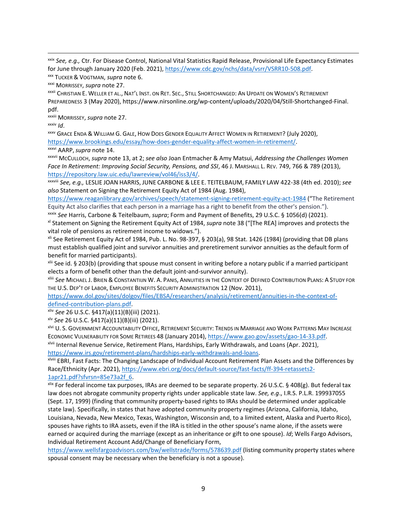xxix *See, e.g.,* Ctr. For Disease Control, National Vital Statistics Rapid Release, Provisional Life Expectancy Estimates for June through January 2020 (Feb. 2021)[, https://www.cdc.gov/nchs/data/vsrr/VSRR10-508.pdf.](https://www.cdc.gov/nchs/data/vsrr/VSRR10-508.pdf)

xxxii CHRISTIAN E. WELLER ET AL., NAT'L INST. ON RET. SEC., STILL SHORTCHANGED: AN UPDATE ON WOMEN'S RETIREMENT PREPAREDNESS 3 (May 2020), https://www.nirsonline.org/wp-content/uploads/2020/04/Still-Shortchanged-Final. pdf.

xxxiii MORRISSEY, *supra* note 27.

xxxiv *Id*.

xxxv GRACE ENDA & WILLIAM G. GALE, HOW DOES GENDER EQUALITY AFFECT WOMEN IN RETIREMENT? (July 2020), [https://www.brookings.edu/essay/how-does-gender-equality-affect-women-in-retirement/.](https://www.brookings.edu/essay/how-does-gender-equality-affect-women-in-retirement/)

xxxvi AARP,*supra* note 14.

xxxvii MCCULLOCH, *supra* note 13, at 2; *see also* Joan Entmacher & Amy Matsui, *Addressing the Challenges Women Face In Retirement: Improving Social Security, Pensions, and SSI*, 46 J. MARSHALL L. REV. 749, 766 & 789 (2013), [https://repository.law.uic.edu/lawreview/vol46/iss3/4/.](https://repository.law.uic.edu/lawreview/vol46/iss3/4/)

xxxviii *See, e.g.,* LESLIE JOAN HARRIS, JUNE CARBONE & LEE E. TEITELBAUM, FAMILY LAW 422-38 (4th ed. 2010); *see also* Statement on Signing the Retirement Equity Act of 1984 (Aug. 1984),

<https://www.reaganlibrary.gov/archives/speech/statement-signing-retirement-equity-act-1984> ("The Retirement Equity Act also clarifies that each person in a marriage has a right to benefit from the other's pension.").

xxxix *See* Harris, Carbone & Teitelbaum, *supra*; Form and Payment of Benefits, 29 U.S.C. § 1056(d) (2021). xl Statement on Signing the Retirement Equity Act of 1984, *supra* note 38 ("[The REA] improves and protects the vital role of pensions as retirement income to widows.").

xli See Retirement Equity Act of 1984, Pub. L. No. 98-397, § 203(a), 98 Stat. 1426 (1984) (providing that DB plans must establish qualified joint and survivor annuities and preretirement survivor annuities as the default form of benefit for married participants).

xlii See id. § 203(b) (providing that spouse must consent in writing before a notary public if a married participant elects a form of benefit other than the default joint-and-survivor annuity).

xliii *See* MICHAEL J. BRIEN & CONSTANTIIJN W. A. PANIS, ANNUITIES IN THE CONTEXT OF DEFINED CONTRIBUTION PLANS: A STUDY FOR THE U.S. DEP'T OF LABOR, EMPLOYEE BENEFITS SECURITY ADMINISTRATION 12 (Nov. 2011),

[https://www.dol.gov/sites/dolgov/files/EBSA/researchers/analysis/retirement/annuities-in-the-context-of](https://www.dol.gov/sites/dolgov/files/EBSA/researchers/analysis/retirement/annuities-in-the-context-of-defined-contribution-plans.pdf)[defined-contribution-plans.pdf.](https://www.dol.gov/sites/dolgov/files/EBSA/researchers/analysis/retirement/annuities-in-the-context-of-defined-contribution-plans.pdf) 

xliv *See* 26 U.S.C. §417(a)(11)(B)(iii) (2021).

xlv *See* 26 U.S.C. §417(a)(11)(B)(iii) (2021).

xlvi U. S. GOVERNMENT ACCOUNTABILITY OFFICE, RETIREMENT SECURITY: TRENDS IN MARRIAGE AND WORK PATTERNS MAY INCREASE ECONOMIC VULNERABILITY FOR SOME RETIREES 48 (January 2014), [https://www.gao.gov/assets/gao-14-33.pdf.](https://www.gao.gov/assets/gao-14-33.pdf)

xlvii Internal Revenue Service, Retirement Plans, Hardships, Early Withdrawals, and Loans (Apr. 2021), [https://www.irs.gov/retirement-plans/hardships-early-withdrawals-and-loans.](https://www.irs.gov/retirement-plans/hardships-early-withdrawals-and-loans)

xlviii EBRI, Fast Facts: The Changing Landscape of Individual Account Retirement Plan Assets and the Differences by Race/Ethnicity (Apr. 2021)[, https://www.ebri.org/docs/default-source/fast-facts/ff-394-retassets2-](https://www.ebri.org/docs/default-source/fast-facts/ff-394-retassets2-1apr21.pdf?sfvrsn=85e73a2f_6) [1apr21.pdf?sfvrsn=85e73a2f\\_6.](https://www.ebri.org/docs/default-source/fast-facts/ff-394-retassets2-1apr21.pdf?sfvrsn=85e73a2f_6)

xlix For federal income tax purposes, IRAs are deemed to be separate property. 26 U.S.C. § 408(g). But federal tax law does not abrogate community property rights under applicable state law. *See, e.g*., I.R.S. P.L.R. 199937055 (Sept. 17, 1999) (finding that community property-based rights to IRAs should be determined under applicable state law). Specifically, in states that have adopted community property regimes (Arizona, California, Idaho, Louisiana, Nevada, New Mexico, Texas, Washington, Wisconsin and, to a limited extent, Alaska and Puerto Rico), spouses have rights to IRA assets, even if the IRA is titled in the other spouse's name alone, if the assets were earned or acquired during the marriage (except as an inheritance or gift to one spouse). *Id*; Wells Fargo Advisors, Individual Retirement Account Add/Change of Beneficiary Form,

<https://www.wellsfargoadvisors.com/bw/wellstrade/forms/578639.pdf> (listing community property states where spousal consent may be necessary when the beneficiary is not a spouse).

xxx TUCKER & VOGTMAN, *supra* note 6.

xxxi MORRISSEY, *supra* note 27.